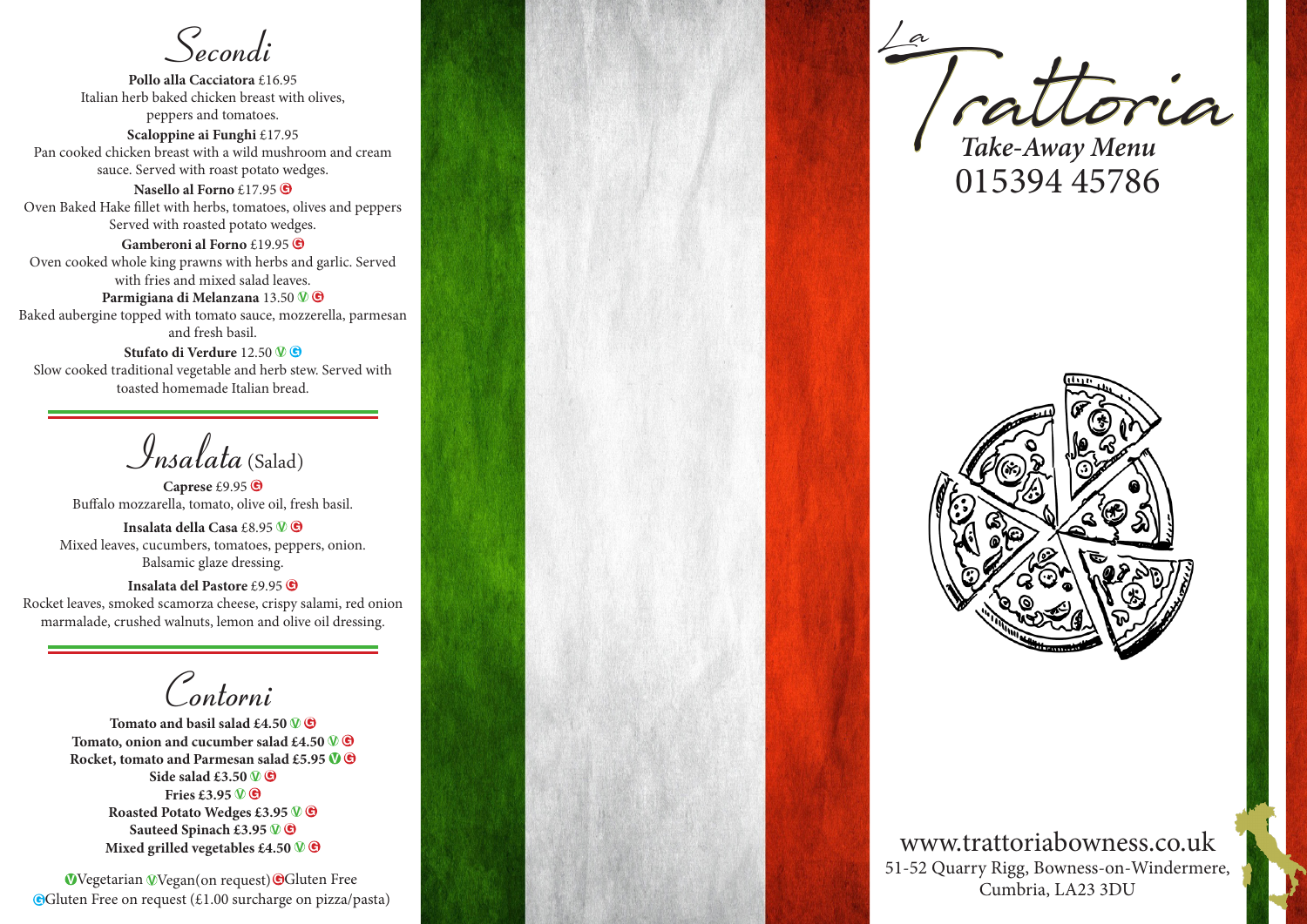Secondi

**Pollo alla Cacciatora** £16.95 Italian herb baked chicken breast with olives, peppers and tomatoes.

**Scaloppine ai Funghi** £17.95 Pan cooked chicken breast with a wild mushroom and cream sauce. Served with roast potato wedges.

**Nasello al Forno** £17.95 **G** Oven Baked Hake fillet with herbs, tomatoes, olives and peppers Served with roasted potato wedges.

**Gamberoni al Forno** £19.95 **G** Oven cooked whole king prawns with herbs and garlic. Served with fries and mixed salad leaves.

**Parmigiana di Melanzana** 13.50 **V G** Baked aubergine topped with tomato sauce, mozzerella, parmesan and fresh basil.

**Stufato di Verdure** 12.50 **V G** Slow cooked traditional vegetable and herb stew. Served with toasted homemade Italian bread.

 $I_{nsa}$ ata (Salad)

**Caprese** £9.95 **G** Buffalo mozzarella, tomato, olive oil, fresh basil.

**Insalata della Casa** £8.95 **V G** Mixed leaves, cucumbers, tomatoes, peppers, onion. Balsamic glaze dressing.

**Insalata del Pastore** £9.95 **G** Rocket leaves, smoked scamorza cheese, crispy salami, red onion marmalade, crushed walnuts, lemon and olive oil dressing.

Contorni

Tomato and basil salad £4.50  $\textcircled{v}$   $\textcircled{e}$ Tomato, onion and cucumber salad £4.50  $\mathbb{V}$   $\mathbb{G}$ **Rocket, tomato and Parmesan salad £5.95 V G Side salad £3.50 V G Fries £3.95 V G Roasted Potato Wedges £3.95 V G Sauteed Spinach £3.95 V G Mixed grilled vegetables £4.50 V G**

**C**Gluten Free on request (£1.00 surcharge on pizza/pasta) **C**Gluten Free on request (£1.00 surcharge on pizza/pasta)



015394 45786



www.trattoriabowness.co.uk 51-52 Quarry Rigg, Bowness-on-Windermere, Cumbria, LA23 3DU